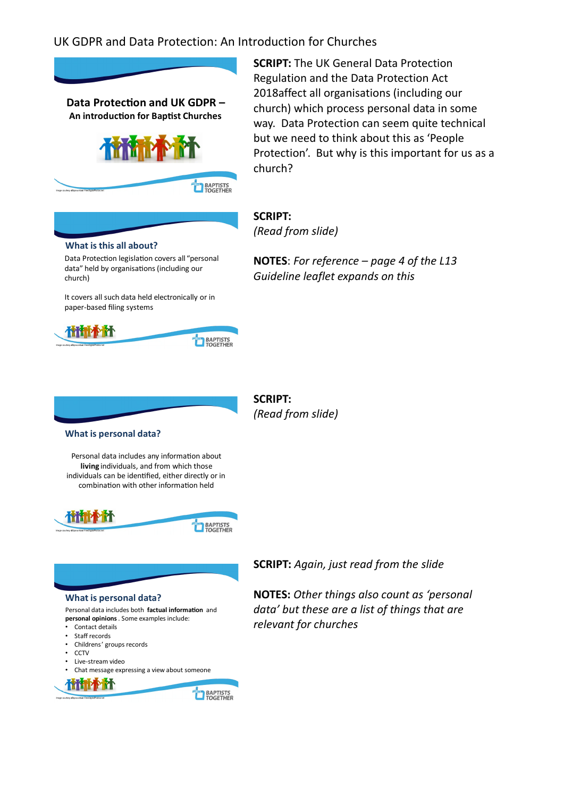

**SCRIPT:** The UK General Data Protection Regulation and the Data Protection Act 2018affect all organisations (including our church) which process personal data in some way. Data Protection can seem quite technical but we need to think about this as 'People Protection'. But why is this important for us as a church?

**NOTES**: *For reference – page 4 of the L13* 

*Guideline leaflet expands on this*

**SCRIPT:**  *(Read from slide)*

#### **What is this all about?**

Data Protection legislation covers all "personal data" held by organisations (including our church)

It covers all such data held electronically or in paper-based filing systems



**SCRIPT:**  *(Read from slide)*

### **What is personal data?**

Personal data includes any information about **living** individuals, and from which those individuals can be iden�fied, either directly or in combination with other information held





**SCRIPT:** *Again, just read from the slide*

**NOTES:** *Other things also count as 'personal data' but these are a list of things that are relevant for churches*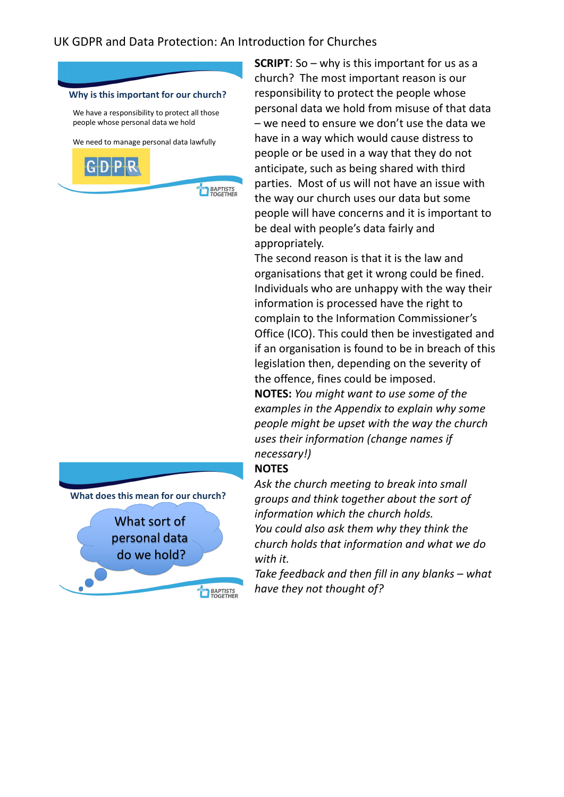



**SCRIPT**: So – why is this important for us as a church? The most important reason is our responsibility to protect the people whose personal data we hold from misuse of that data – we need to ensure we don't use the data we have in a way which would cause distress to people or be used in a way that they do not anticipate, such as being shared with third parties. Most of us will not have an issue with the way our church uses our data but some people will have concerns and it is important to be deal with people's data fairly and appropriately.

The second reason is that it is the law and organisations that get it wrong could be fined. Individuals who are unhappy with the way their information is processed have the right to complain to the Information Commissioner's Office (ICO). This could then be investigated and if an organisation is found to be in breach of this legislation then, depending on the severity of the offence, fines could be imposed. **NOTES:** *You might want to use some of the examples in the Appendix to explain why some people might be upset with the way the church uses their information (change names if necessary!)*

## **NOTES**

*Ask the church meeting to break into small groups and think together about the sort of information which the church holds. You could also ask them why they think the* 

*church holds that information and what we do with it.*

*Take feedback and then fill in any blanks – what have they not thought of?*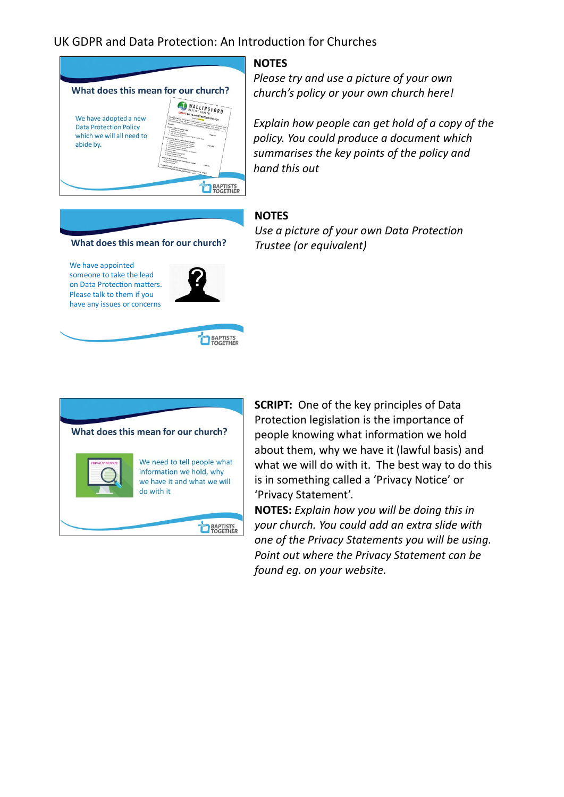

### **NOTES**

*Please try and use a picture of your own church's policy or your own church here!*

*Explain how people can get hold of a copy of the policy. You could produce a document which summarises the key points of the policy and hand this out*

## **NOTES**

**What does this mean for our church?**

We have appointed someone to take the lead on Data Protection matters. Please talk to them if you have any issues or concerns



**EXPERIES** 



*Use a picture of your own Data Protection Trustee (or equivalent)*

**SCRIPT:** One of the key principles of Data Protection legislation is the importance of people knowing what information we hold about them, why we have it (lawful basis) and what we will do with it. The best way to do this is in something called a 'Privacy Notice' or 'Privacy Statement'.

**NOTES:** *Explain how you will be doing this in your church. You could add an extra slide with one of the Privacy Statements you will be using. Point out where the Privacy Statement can be found eg. on your website.*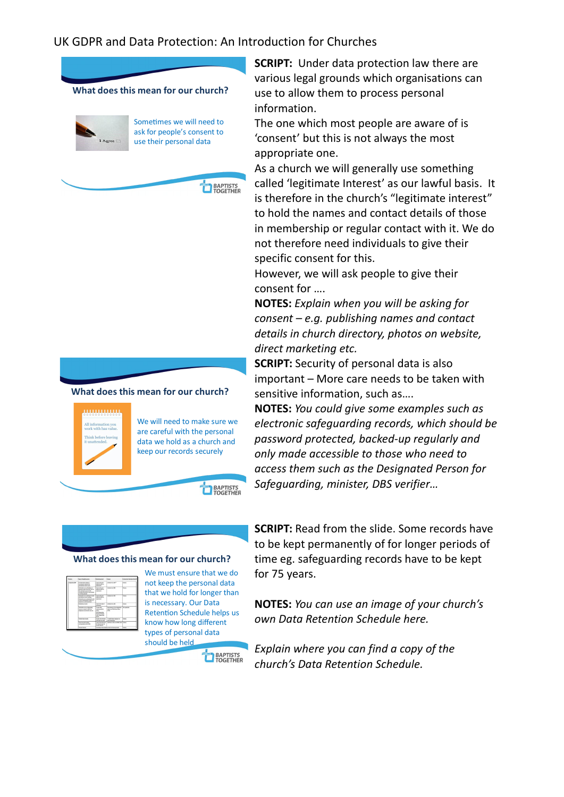

**EL BAPTISTS** 





We will need to make sure we are careful with the personal data we hold as a church and keep our records securely

**BAPTISTS** 

**EXPRESS TO BAPTISTS** 

#### **What does this mean for our church?**

| $\overline{\phantom{a}}$ | <b>Ser # beyfrequent</b>                                                                                                                                    | <b>Reporting parties</b>                                                                                                                                                             | Taxable 1                                                                   | <b>Adam after Secretar Arrist</b> |
|--------------------------|-------------------------------------------------------------------------------------------------------------------------------------------------------------|--------------------------------------------------------------------------------------------------------------------------------------------------------------------------------------|-----------------------------------------------------------------------------|-----------------------------------|
|                          | <b>IS AN EXECUTIVE</b><br>produced selector and<br><b><i>Shekimal abbient</i></b>                                                                           | <b>Controller and</b><br><b>Schleider State Left and</b><br><b>MARINER</b>                                                                                                           | <b>SANDALA ALCOHO</b> <sup>3</sup>                                          | <b>Sales</b>                      |
|                          | Information or the disclaimers of<br>presente based for a<br>the indicated's personnel file.<br>mituding information on any person<br>of exclusive process. | <b>Constraint and</b><br>bridge buildings<br><b>Hallmark</b>                                                                                                                         | <b><i><u>Service</u> by 1984</i></b><br>---                                 | <b>Barbara</b><br>w               |
|                          | Materials or an informationally<br>and advancement autobac<br>where the art and a decision was<br>to be water peter, after any<br><b>SHIPFORT ASSOCIATE</b> | Location and<br>home he whose<br>menant<br>-                                                                                                                                         | <b><i>Stabilize Art 1988</i></b>                                            | <b>Salter</b><br>ч.               |
|                          | <b><i><u>Industrial Contract</u></i></b>                                                                                                                    | <b>Constitution Arts of</b><br>minimum                                                                                                                                               | <b><i>Conduction Art 1984</i></b>                                           | <b>Basico</b>                     |
|                          | Internation on any adveragation<br>construction and of the<br>working as before a strong                                                                    | <b><i><u>Republic Controller</u></i></b><br>andorsmith &<br><b>COLOR</b><br><b>Text Motorchief</b><br><b><i><u>Belasting Market</u></i></b><br>ander folkenseiten.<br><b>Service</b> | <b>Seattered of the International</b><br>tracts on their lower than<br>arso | <b>NO AVENUE</b>                  |
|                          | <b>Constitution Include</b>                                                                                                                                 | <b>Base Inche de</b><br>of the limit of a limit                                                                                                                                      | To enable future respirance in<br>designations of the                       | $rac{1}{2}$                       |
|                          | Ford mind intuling<br><b><i>STANDARD VIA 1980</i></b>                                                                                                       | the financial part for<br>work states                                                                                                                                                | Calcios book Chairs at \$1 and \$1 kells.                                   |                                   |
|                          | <b>Telephone</b>                                                                                                                                            | Australia to the shaking of the factory and the                                                                                                                                      |                                                                             | <b>Tarter</b>                     |

We must ensure that we do not keep the personal data that we hold for longer than is necessary. Our Data Retention Schedule helps us know how long different types of personal data should be held

**SCRIPT:** Under data protection law there are various legal grounds which organisations can use to allow them to process personal information.

The one which most people are aware of is 'consent' but this is not always the most appropriate one.

As a church we will generally use something called 'legitimate Interest' as our lawful basis. It is therefore in the church's "legitimate interest" to hold the names and contact details of those in membership or regular contact with it. We do not therefore need individuals to give their specific consent for this.

However, we will ask people to give their consent for ….

**NOTES:** *Explain when you will be asking for consent – e.g. publishing names and contact details in church directory, photos on website, direct marketing etc.*

**SCRIPT:** Security of personal data is also important – More care needs to be taken with sensitive information, such as….

**NOTES:** *You could give some examples such as electronic safeguarding records, which should be password protected, backed-up regularly and only made accessible to those who need to access them such as the Designated Person for Safeguarding, minister, DBS verifier…*

**SCRIPT:** Read from the slide. Some records have to be kept permanently of for longer periods of time eg. safeguarding records have to be kept for 75 years.

**NOTES:** *You can use an image of your church's own Data Retention Schedule here.*

*Explain where you can find a copy of the church's Data Retention Schedule.*